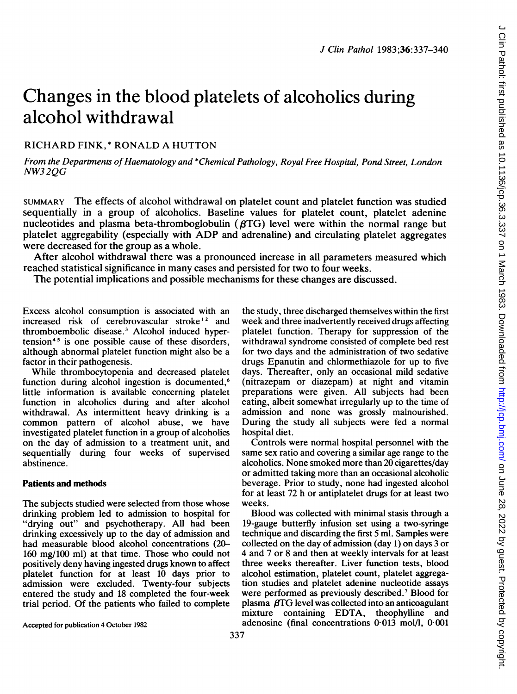# Changes in the blood platelets of alcoholics during alcohol withdrawal

# RICHARD FINK,\* RONALD A HUTTON

From the Departments of Haematology and \*Chemical Pathology, Royal Free Hospital, Pond Street, London NW32QG

SUMMARY The effects of alcohol withdrawal on platelet count and platelet function was studied sequentially in a group of alcoholics. Baseline values for platelet count, platelet adenine nucleotides and plasma beta-thromboglobulin  $(\beta \text{TG})$  level were within the normal range but platelet aggregability (especially with ADP and adrenaline) and circulating platelet aggregates were decreased for the group as a whole.

After alcohol withdrawal there was a pronounced increase in all parameters measured which reached statistical significance in many cases and persisted for two to four weeks.

The potential implications and possible mechanisms for these changes are discussed.

Excess alcohol consumption is associated with an increased risk of cerebrovascular stroke<sup>12</sup> and thromboembolic disease.3 Alcohol induced hypertension<sup>45</sup> is one possible cause of these disorders, although abnormal platelet function might also be a factor in their pathogenesis.

While thrombocytopenia and decreased platelet function during alcohol ingestion is documented.<sup>6</sup> little information is available concerning platelet function in alcoholics during and after alcohol withdrawal. As intermittent heavy drinking is a common pattern of alcohol abuse, we have investigated platelet function in a group of alcoholics on the day of admission to a treatment unit, and sequentially during four weeks of supervised abstinence.

#### Patients and methods

The subjects studied were selected from those whose drinking problem led to admission to hospital for "drying out" and psychotherapy. All had been drinking excessively up to the day of admission and had measurable blood alcohol concentrations (20- 160 mg/100 ml) at that time. Those who could not positively deny having ingested drugs known to affect platelet function for at least 10 days prior to admission were excluded. Twenty-four subjects entered the study and 18 completed the four-week trial period. Of the patients who failed to complete the study, three discharged themselves within the first week and three inadvertently received drugs affecting platelet function. Therapy for suppression of the withdrawal syndrome consisted of complete bed rest for two days and the administration of two sedative drugs Epanutin and chlormethiazole for up to five days. Thereafter, only an occasional mild sedative (nitrazepam or diazepam) at night and vitamin preparations were given. All subjects had been eating, albeit somewhat irregularly up to the time of admission and none was grossly malnourished. During the study all subjects were fed a normal hospital diet.

Controls were normal hospital personnel with the same sex ratio and covering <sup>a</sup> similar age range to the alcoholics. None smoked more than 20 cigarettes/day or admitted taking more than an occasional alcoholic beverage. Prior to study, none had ingested alcohol for at least 72 h or antiplatelet drugs for at least two weeks.

Blood was collected with minimal stasis through a 19-gauge butterfly infusion set using a two-syringe technique and discarding the first 5 ml. Samples were collected on the day of admission (day 1) on days 3 or 4 and 7 or 8 and then at weekly intervals for at least three weeks thereafter. Liver function tests, blood alcohol estimation, platelet count, platelet aggregation studies and platelet adenine nucleotide assays were performed as previously described.' Blood for plasma  $fG$  level was collected into an anticoagulant mixture containing EDTA, theophylline and adenosine (final concentrations 0-013 mol/l, 0 001

Accepted for publication 4 October 1982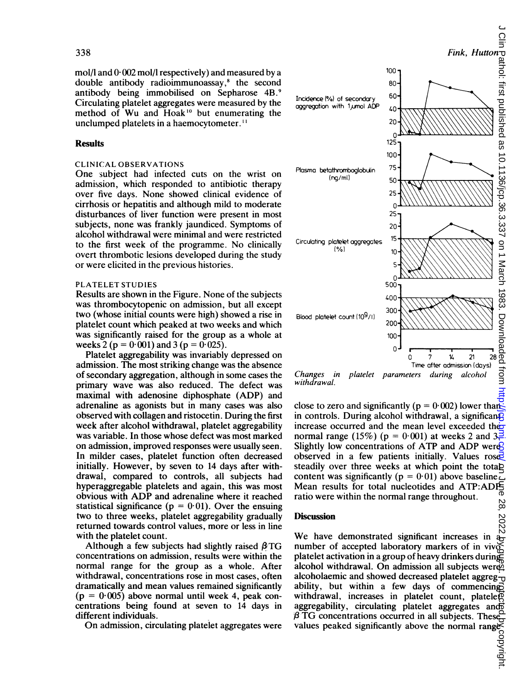mol/l and  $0.002$  mol/l respectively) and measured by a double antibody radioimmunoassay,<sup>8</sup> the second antibody being immobilised on Sepharose 4B.9 Circulating platelet aggregates were measured by the method of Wu and Hoak<sup>10</sup> but enumerating the unclumped platelets in a haemocytometer."

## **Results**

## CLINICAL OBSERVATIONS

One subject had infected cuts on the wrist on admission, which responded to antibiotic therapy over five days. None showed clinical evidence of cirrhosis or hepatitis and although mild to moderate disturbances of liver function were present in most subjects, none was frankly jaundiced. Symptoms of alcohol withdrawal were minimal and were restricted to the first week of the programme. No clinically overt thrombotic lesions developed during the study or were elicited in the previous histories.

### PLATELET STUDIES

Results are shown in the Figure. None of the subjects was thrombocytopenic on admission, but all except two (whose initial counts were high) showed a rise in platelet count which peaked at two weeks and which was significantly raised for the group as a whole at weeks 2 ( $p = 0.001$ ) and 3 ( $p = 0.025$ ).

Platelet aggregability was invariably depressed on admission. The most striking change was the absence of secondary aggregation, although in some cases the primary wave was also reduced. The defect was maximal with adenosine diphosphate (ADP) and adrenaline as agonists but in many cases was also observed with collagen and ristocetin. During the first week after alcohol withdrawal, platelet aggregability was variable. In those whose defect was most marked on admission, improved responses were usually seen. In milder cases, platelet function often decreased initially. However, by seven to 14 days after withdrawal, compared to controls, all subjects had hyperaggregable platelets and again, this was most obvious with ADP and adrenaline where it reached statistical significance ( $p = 0.01$ ). Over the ensuing two to three weeks, platelet aggregability gradually returned towards control values, more or less in line with the platelet count.

Although a few subjects had slightly raised  $\beta$ TG concentrations on admission, results were within the normal range for the group as a whole. After withdrawal, concentrations rose in most cases, often dramatically and mean values remained significantly  $(p = 0.005)$  above normal until week 4, peak concentrations being found at seven to 14 days in different individuals.

On admission, circulating platelet aggregates were



Changes in platelet parameters during alcohol withdrawal.

close to zero and significantly ( $p = 0.002$ ) lower than in controls. During alcohol withdrawal, a significantly increase occurred and the mean level exceeded the normal range (15%) ( $p = 0.001$ ) at weeks 2 and 3. Slightly low concentrations of ATP and ADP were? observed in a few patients initially. Values  $\text{rose}$ steadily over three weeks at which point the totab content was significantly ( $p = 0.01$ ) above baseline. Mean results for total nucleotides and ATP:ADPS<br>ratio were within the normal range throughout ratio were within the normal range throughout.

#### **Discussion**

Discussion<br>We have demonstrated significant increases in  $\frac{60}{67}$ <br>We have demonstrated significant increases in  $\frac{60}{47}$ number of accepted laboratory markers of in vivo $\zeta$ platelet activation in a group of heavy drinkers during alcohol withdrawal. On admission all subjects were alcoholaemic and showed decreased platelet aggreg- $\frac{1}{10}$ ability, but within a few days of commencing withdrawal, increases in platelet count, platele $\overline{\mathbb{Q}}$ aggregability, circulating platelet aggregates and /3 TG concentrations occurred in all subjects. These values peaked significantly above the normal range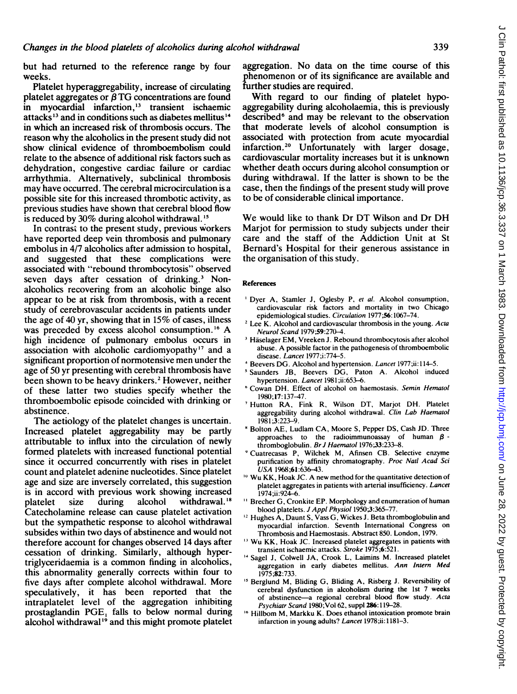but had returned to the reference range by four weeks.

Platelet hyperaggregability, increase of circulating platelet aggregates or  $\overline{B}$  TG concentrations are found in myocardial infarction,'3 transient ischaemic attacks<sup>13</sup> and in conditions such as diabetes mellitus<sup>14</sup> in which an increased risk of thrombosis occurs. The reason why the alcoholics in the present study did not show clinical evidence of thromboembolism could relate to the absence of additional risk factors such as dehydration, congestive cardiac failure or cardiac arrhythmia. Alternatively, subclinical thrombosis may have occurred. The cerebral microcirculation is a possible site for this increased thrombotic activity, as previous studies have shown that cerebral blood flow is reduced by  $30\%$  during alcohol withdrawal.<sup>15</sup>

In contrast to the present study, previous workers have reported deep vein thrombosis and pulmonary embolus in 4/7 alcoholics after admission to hospital, and suggested that these complications were associated with "rebound thrombocytosis" observed seven days after cessation of drinking.<sup>3</sup> Nonalcoholics recovering from an alcoholic binge also appear to be at risk from thrombosis, with a recent study of cerebrovascular accidents in patients under the age of 40 yr, showing that in 15% of cases, illness was preceded by excess alcohol consumption.<sup>16</sup> A high incidence of pulmonary embolus occurs in association with alcoholic cardiomyopathy'" and a significant proportion of normotensive men under the age of 50 yr presenting with cerebral thrombosis have been shown to be heavy drinkers.<sup>2</sup> However, neither of these latter two studies specify whether the thromboembolic episode coincided with drinking or abstinence.

The aetiology of the platelet changes is uncertain. Increased platelet aggregability may be partly attributable to influx into the circulation of newly formed platelets with increased functional potential since it occurred concurrently with rises in platelet count and platelet adenine nucleotides. Since platelet age and size are inversely correlated, this suggestion is in accord with previous work showing increased<br>platelet size during alcohol withdrawal.<sup>18</sup> platelet size during alcohol withdrawal.<sup>18</sup> Catecholamine release can cause platelet activation but the sympathetic response to alcohol withdrawal subsides within two days of abstinence and would not therefore account for changes observed 14 days after cessation of drinking. Similarly, although hypertriglyceridaemia is a common finding in alcoholics, this abnormality generally corrects within four to five days after complete alcohol withdrawal. More speculatively, it has been reported that the intraplatelet level of the aggregation inhibiting prostaglandin PGE, falls to below normal during alcohol withdrawal<sup>19</sup> and this might promote platelet

aggregation. No data on the time course of this phenomenon or of its significance are available and further studies are required.

With regard to our finding of platelet hypoaggregability during alcoholaemia, this is previously described<sup>6</sup> and may be relevant to the observation that moderate levels of alcohol consumption is associated with protection from acute myocardial infarction.20 Unfortunately with larger dosage, cardiovascular mortality increases but it is unknown whether death occurs during alcohol consumption or during withdrawal. If the latter is shown to be the case, then the findings of the present study will prove to be of considerable clinical importance.

We would like to thank Dr DT Wilson and Dr DH Marjot for permission to study subjects under their care and the staff of the Addiction Unit at St Bernard's Hospital for their generous assistance in the organisation of this study.

#### References

- <sup>1</sup> Dyer A, Stamler J, Oglesby P, et al. Alcohol consumption, cardiovascular risk factors and mortality in two Chicago epidemiological studies. Circulation 1977;56:1067-74.
- <sup>2</sup> Lee K. Alcohol and cardiovascular thrombosis in the young. Acta Neurol Scand 1979;59:270-4.
- <sup>3</sup> Häselager EM, Vreeken J. Rebound thrombocytosis after alcohol abuse. A possible factor in the pathogenesis of thromboembolic disease. Lancet 1977;i:774-5.
- Beevers DG. Alcohol and hypertension. Lancet 1977;ii: 114-5.
- <sup>5</sup> Saunders JB, Beevers DG, Paton A. Alcohol induced hypertension. Lancet 1981;ii:653-6.
- 'Cowan DH. Effect of alcohol on haemostasis. Semin Hematol 1980;17: 137-47.
- Hutton RA, Fink R, Wilson DT, Marjot DH. Platelet aggregability during alcohol withdrawal. Clin Lab Haematol 1981 ;3:223-9.
- <sup>8</sup> Bolton AE, Ludlam CA, Moore S, Pepper DS, Cash JD. Three approaches to the radioimmunoassay of human  $\beta$  thromboglobulin. Br J Haematol 1976;33:233-8.
- Cuatrecasas P, Wilchek M, Afinsen CB. Selective enzyme purification by affinity chromatography. Proc Natl Acad Sci USA 1968;61:636-43.
- <sup>10</sup> Wu KK, Hoak JC. A new method for the quantitative detection of platelet aggregates in patients with arterial insufficiency. Lancet 1974;ii:924-6.
- <sup>11</sup> Brecher G, Cronkite EP. Morphology and enumeration of human blood platelets. J Appl Physiol 1950;3:365-77.
- $^{12}$  Hughes A, Daunt S, Vass G, Wickes J. Beta thromboglobulin and myocardial infarction. Seventh International Congress on Thrombosis and Haemostasis. Abstract 850. London, 1979.
- <sup>13</sup> Wu KK, Hoak JC. Increased platelet aggregates in patients with transient ischaemic attacks. Stroke 1975;6:521.
- <sup>14</sup> Sagel J, Colwell JA, Crook L, Laimins M. Increased platelet aggregation in early diabetes mellitus. Ann Intern Med 1975;82:733.
- <sup>15</sup> Berglund M, Bliding G, Bliding A, Risberg J. Reversibility of cerebral dysfunction in alcoholism during the 1st 7 weeks of abstinence-a regional cerebral blood flow study. Acta Psychiatr Scand 1980;Vol 62, suppl 286:119-28.
- <sup>16</sup> Hillbom M, Markku K. Does ethanol intoxication promote brain infarction in young adults? Lancet 1978;ii: 1181-3.